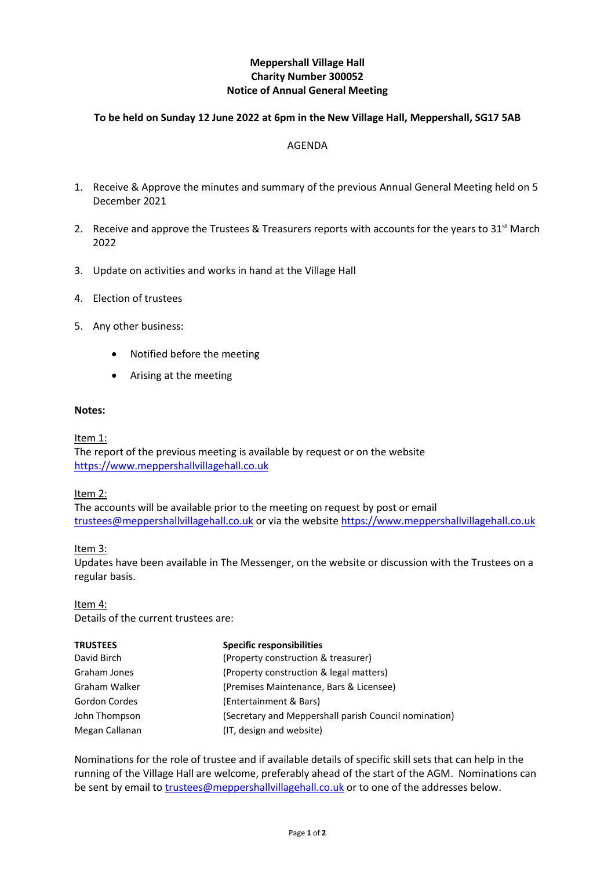# **Meppershall Village Hall Charity Number 300052 Notice of Annual General Meeting**

## **To be held on Sunday 12 June 2022 at 6pm in the New Village Hall, Meppershall, SG17 5AB**

### AGENDA

- 1. Receive & Approve the minutes and summary of the previous Annual General Meeting held on 5 December 2021
- 2. Receive and approve the Trustees & Treasurers reports with accounts for the years to  $31<sup>st</sup>$  March 2022
- 3. Update on activities and works in hand at the Village Hall
- 4. Election of trustees
- 5. Any other business:
	- Notified before the meeting
	- Arising at the meeting

#### **Notes:**

Item 1:

The report of the previous meeting is available by request or on the website [https://www.meppershallvillagehall.co.uk](https://www.meppershallvillagehall.co.uk/)

## Item 2:

The accounts will be available prior to the meeting on request by post or email [trustees@meppershallvillagehall.co.uk](mailto:trustees@meppershallvillagehall.co.uk) or via the website [https://www.meppershallvillagehall.co.uk](https://www.meppershallvillagehall.co.uk/)

## Item 3:

Updates have been available in The Messenger, on the website or discussion with the Trustees on a regular basis.

Item 4:

Details of the current trustees are:

| <b>TRUSTEES</b> | <b>Specific responsibilities</b>                      |
|-----------------|-------------------------------------------------------|
| David Birch     | (Property construction & treasurer)                   |
| Graham Jones    | (Property construction & legal matters)               |
| Graham Walker   | (Premises Maintenance, Bars & Licensee)               |
| Gordon Cordes   | (Entertainment & Bars)                                |
| John Thompson   | (Secretary and Meppershall parish Council nomination) |
| Megan Callanan  | (IT, design and website)                              |

Nominations for the role of trustee and if available details of specific skill sets that can help in the running of the Village Hall are welcome, preferably ahead of the start of the AGM. Nominations can be sent by email to [trustees@meppershallvillagehall.co.uk](mailto:trustees@meppershallvillagehall.co.uk) or to one of the addresses below.